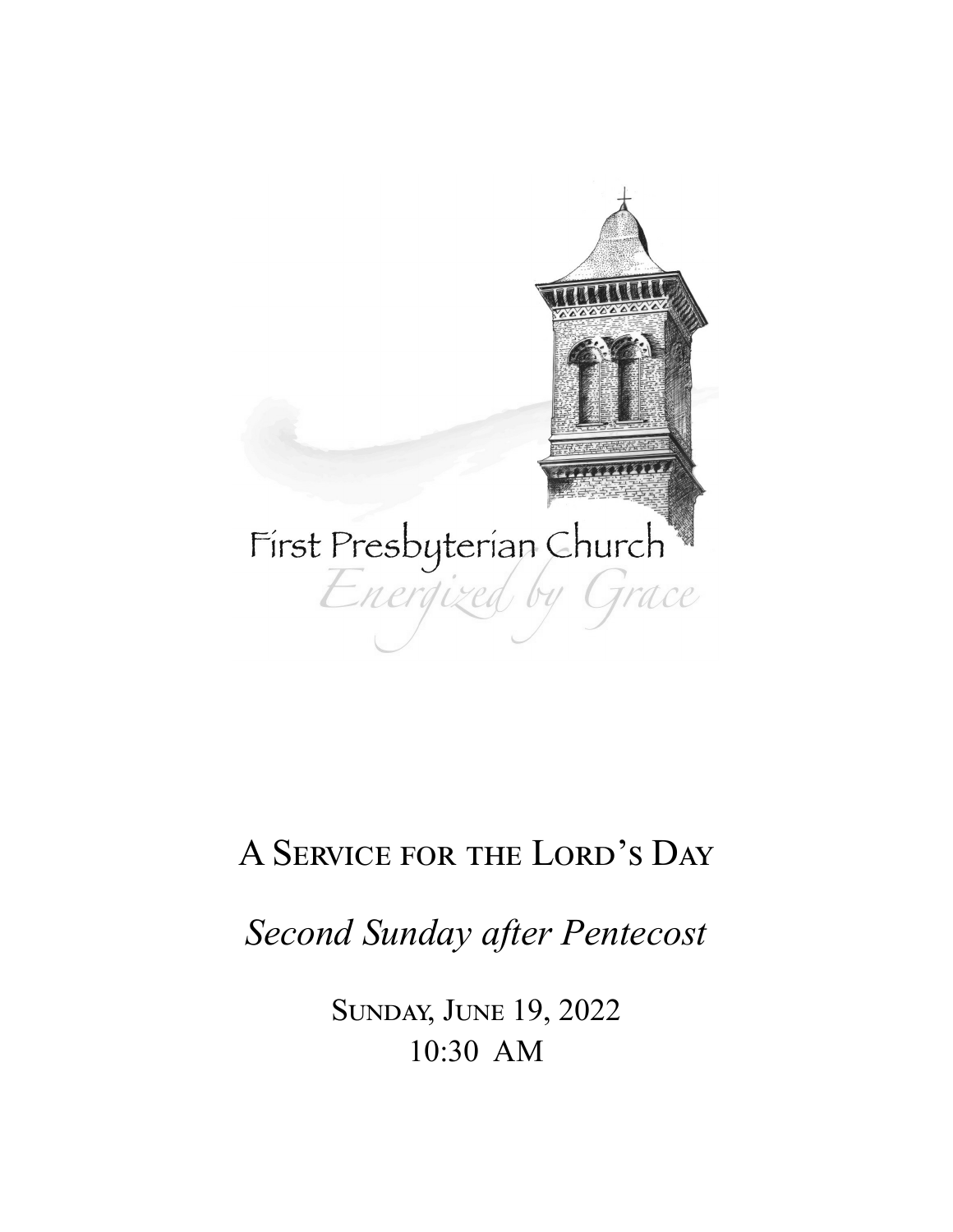

# A Service for the Lord's Day

*Second Sunday after Pentecost* 

Sunday, June 19, 2022 10:30 AM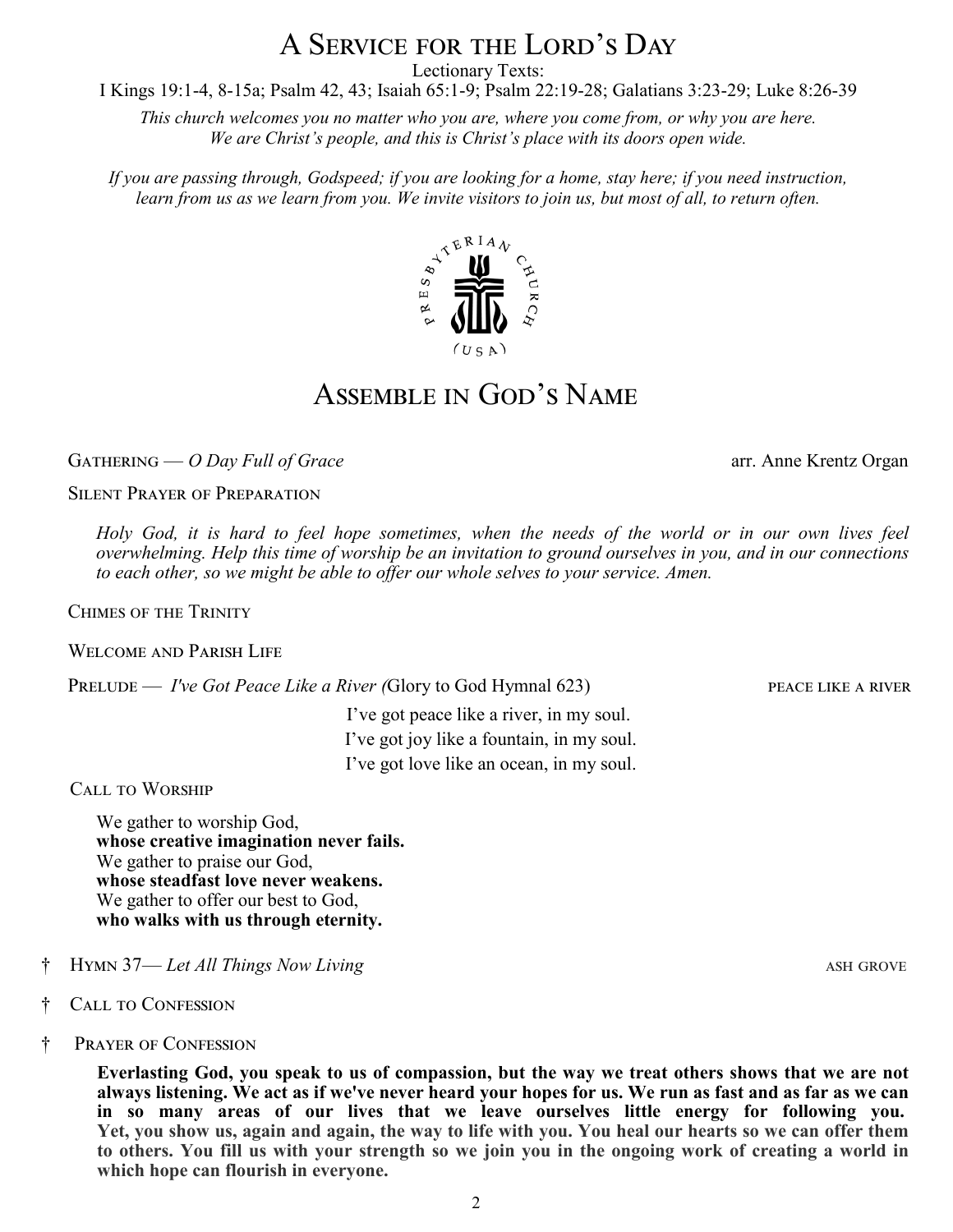# A Service for the Lord's Day

Lectionary Texts:

I Kings 19:1-4, 8-15a; Psalm 42, 43; Isaiah 65:1-9; Psalm 22:19-28; Galatians 3:23-29; Luke 8:26-39

*This church welcomes you no matter who you are, where you come from, or why you are here. We are Christ's people, and this is Christ's place with its doors open wide.* 

*If you are passing through, Godspeed; if you are looking for a home, stay here; if you need instruction, learn from us as we learn from you. We invite visitors to join us, but most of all, to return often.*

### Assemble in God's Name

GATHERING — *O Day Full of Grace* **arr.** Anne Krentz Organ

Silent Prayer of Preparation

*Holy God, it is hard to feel hope sometimes, when the needs of the world or in our own lives feel overwhelming. Help this time of worship be an invitation to ground ourselves in you, and in our connections to each other, so we might be able to offer our whole selves to your service. Amen.* 

Chimes of the Trinity

Welcome and Parish Life

PRELUDE — *I've Got Peace Like a River (Glory to God Hymnal 623)* PEACE LIKE A RIVER

I've got peace like a river, in my soul. I've got joy like a fountain, in my soul. I've got love like an ocean, in my soul.

Call to Worship

We gather to worship God, **whose creative imagination never fails.** We gather to praise our God, **whose steadfast love never weakens.** We gather to offer our best to God, **who walks with us through eternity.**

- † Hymn 37— *Let All Things Now Living* ash grove
- † Call to Confession
- † Prayer of Confession

**Everlasting God, you speak to us of compassion, but the way we treat others shows that we are not always listening. We act as if we've never heard your hopes for us. We run as fast and as far as we can in so many areas of our lives that we leave ourselves little energy for following you. Yet, you show us, again and again, the way to life with you. You heal our hearts so we can offer them to others. You fill us with your strength so we join you in the ongoing work of creating a world in which hope can flourish in everyone.**

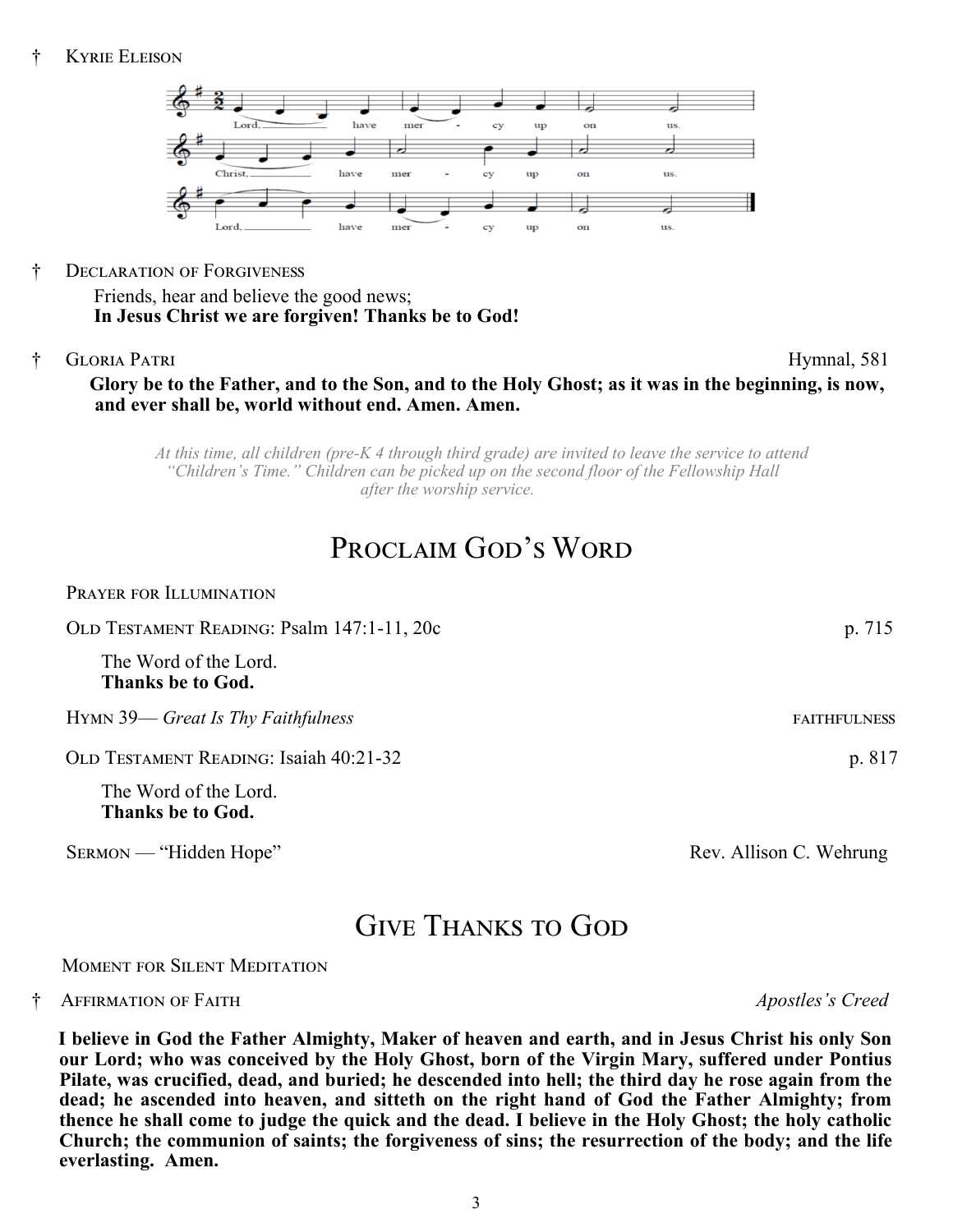

† Declaration of Forgiveness

Friends, hear and believe the good news; **In Jesus Christ we are forgiven! Thanks be to God!**

† Gloria Patri Hymnal, 581

### **Glory be to the Father, and to the Son, and to the Holy Ghost; as it was in the beginning, is now, and ever shall be, world without end. Amen. Amen.**

*At this time, all children (pre-K 4 through third grade) are invited to leave the service to attend "Children's Time." Children can be picked up on the second floor of the Fellowship Hall after the worship service.*

## PROCLAIM GOD'S WORD

| p. 715              |
|---------------------|
|                     |
| <b>FAITHFULNESS</b> |
| p. 817              |
|                     |
|                     |

SERMON — "Hidden Hope" Rev. Allison C. Wehrung

### Give Thanks to God

#### Moment for Silent Meditation

#### † Affirmation of Faith *Apostles's Creed*

**I believe in God the Father Almighty, Maker of heaven and earth, and in Jesus Christ his only Son our Lord; who was conceived by the Holy Ghost, born of the Virgin Mary, suffered under Pontius Pilate, was crucified, dead, and buried; he descended into hell; the third day he rose again from the dead; he ascended into heaven, and sitteth on the right hand of God the Father Almighty; from thence he shall come to judge the quick and the dead. I believe in the Holy Ghost; the holy catholic Church; the communion of saints; the forgiveness of sins; the resurrection of the body; and the life everlasting. Amen.**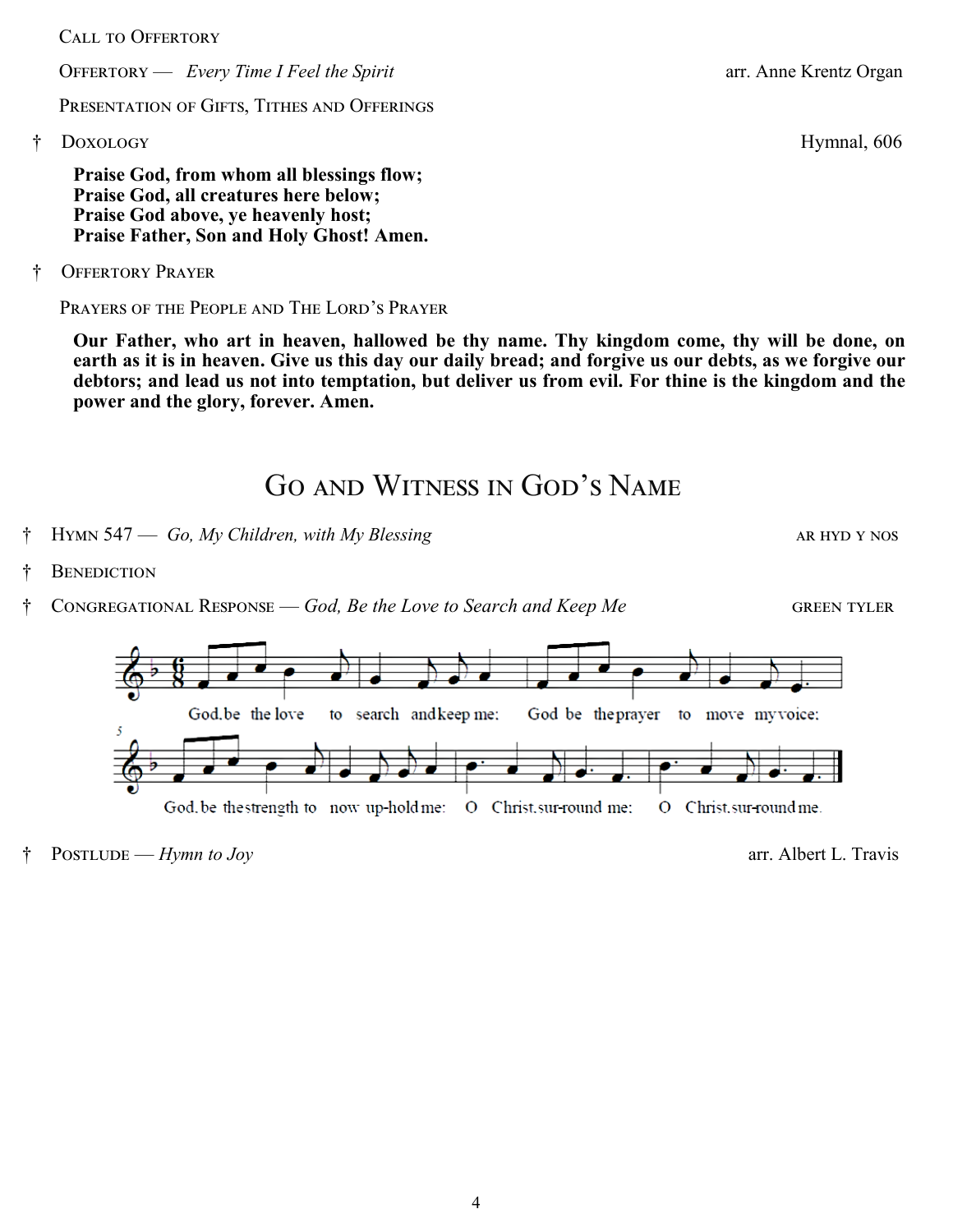CALL TO OFFERTORY

OFFERTORY — *Every Time I Feel the Spirit* arr. Anne Krentz Organ

PRESENTATION OF GIFTS, TITHES AND OFFERINGS

† Doxology Hymnal, 606

**Praise God, from whom all blessings flow; Praise God, all creatures here below; Praise God above, ye heavenly host; Praise Father, Son and Holy Ghost! Amen.**

† Offertory Prayer

Prayers of the People and The Lord's Prayer

**Our Father, who art in heaven, hallowed be thy name. Thy kingdom come, thy will be done, on earth as it is in heaven. Give us this day our daily bread; and forgive us our debts, as we forgive our debtors; and lead us not into temptation, but deliver us from evil. For thine is the kingdom and the power and the glory, forever. Amen.**

### Go and Witness in God's Name

- † Hymn 547 *Go, My Children, with My Blessing* and the set of the set of the set of the set of the set of the set of the set of the set of the set of the set of the set of the set of the set of the set of the set of the
- **BENEDICTION**
- $\sim$  Congregational Response *God, Be the Love to Search and Keep Me* **GREEN TYLER**



† Postlude — *Hymn to Joy* arr. Albert L. Travis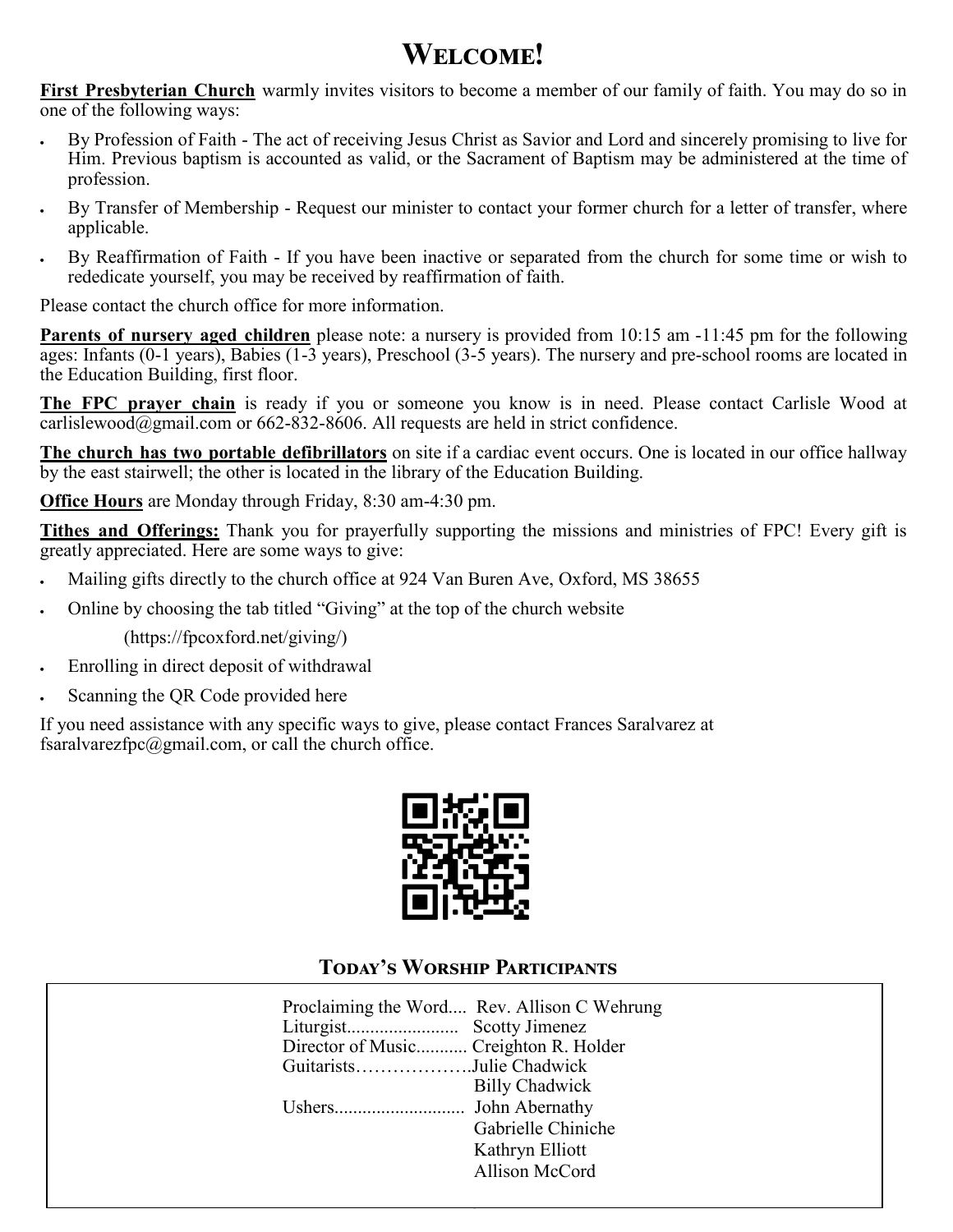# **Welcome!**

**First Presbyterian Church** warmly invites visitors to become a member of our family of faith. You may do so in one of the following ways:

- By Profession of Faith The act of receiving Jesus Christ as Savior and Lord and sincerely promising to live for Him. Previous baptism is accounted as valid, or the Sacrament of Baptism may be administered at the time of profession.
- By Transfer of Membership Request our minister to contact your former church for a letter of transfer, where applicable.
- By Reaffirmation of Faith If you have been inactive or separated from the church for some time or wish to rededicate yourself, you may be received by reaffirmation of faith.

Please contact the church office for more information.

**Parents of nursery aged children** please note: a nursery is provided from 10:15 am -11:45 pm for the following ages: Infants (0-1 years), Babies (1-3 years), Preschool (3-5 years). The nursery and pre-school rooms are located in the Education Building, first floor.

**The FPC prayer chain** is ready if you or someone you know is in need. Please contact Carlisle Wood at  $\overline{\text{carlislewood}(a)}$  cannot com or 662-832-8606. All requests are held in strict confidence.

**The church has two portable defibrillators** on site if a cardiac event occurs. One is located in our office hallway by the east stairwell; the other is located in the library of the Education Building.

**Office Hours** are Monday through Friday, 8:30 am-4:30 pm.

**Tithes and Offerings:** Thank you for prayerfully supporting the missions and ministries of FPC! Every gift is greatly appreciated. Here are some ways to give:

- Mailing gifts directly to the church office at 924 Van Buren Ave, Oxford, MS 38655
- Online by choosing the tab titled "Giving" at the top of the church website

(https://fpcoxford.net/giving/)

- Enrolling in direct deposit of withdrawal
- Scanning the QR Code provided here

If you need assistance with any specific ways to give, please contact Frances Saralvarez at fsaralvarezfpc $@g$ mail.com, or call the church office.



### **Today's Worship Participants**

|                                       | Proclaiming the Word Rev. Allison C Wehrung |
|---------------------------------------|---------------------------------------------|
|                                       |                                             |
| Director of Music Creighton R. Holder |                                             |
| GuitaristsJulie Chadwick              |                                             |
|                                       | <b>Billy Chadwick</b>                       |
|                                       |                                             |
|                                       | Gabrielle Chiniche                          |
|                                       | Kathryn Elliott                             |
|                                       | Allison McCord                              |
|                                       |                                             |

5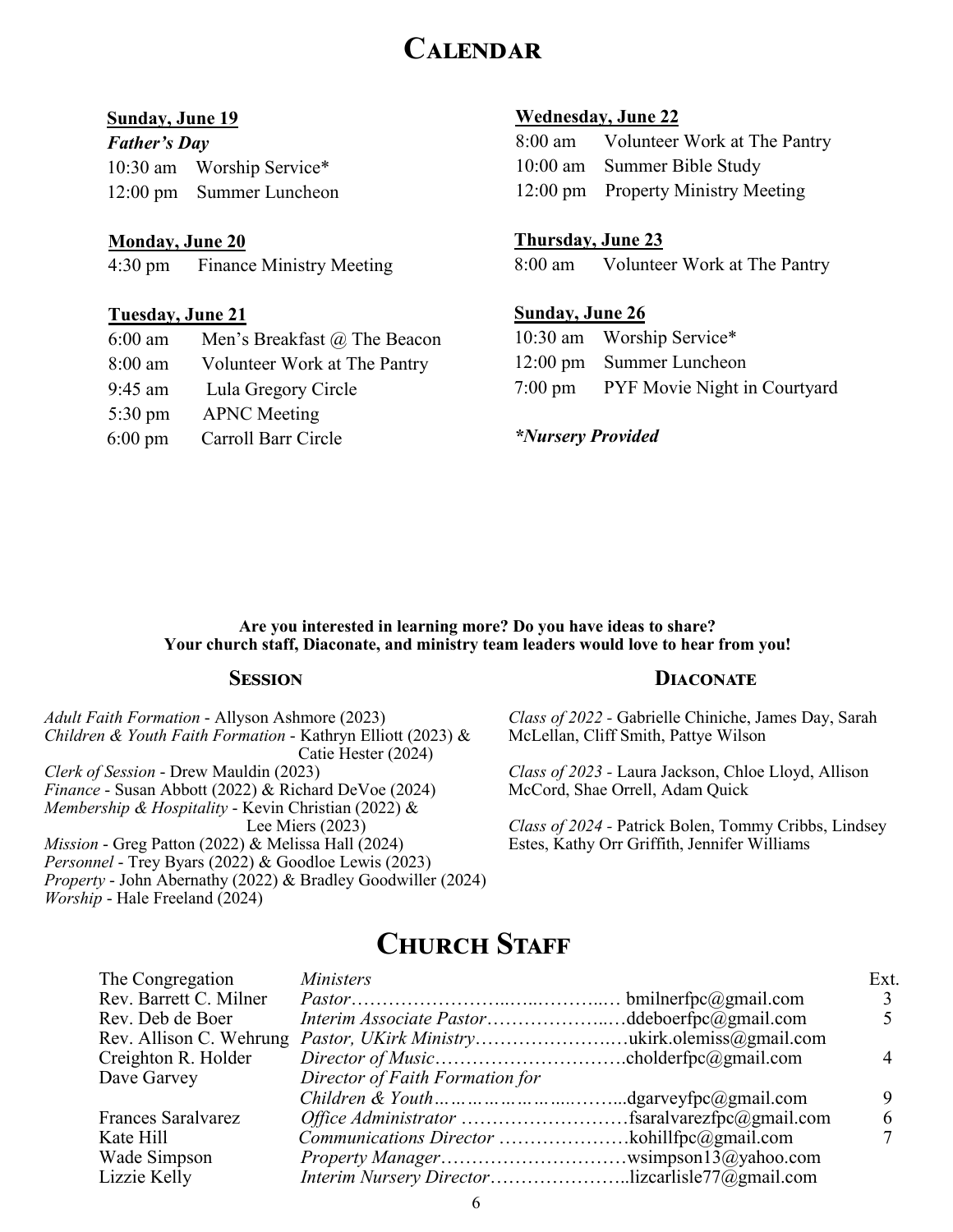### **Calendar**

#### **Sunday, June 19**

*Father's Day*  10:30 am Worship Service\* 12:00 pm Summer Luncheon

#### **Monday, June 20**

4:30 pm Finance Ministry Meeting

#### **Tuesday, June 21**

| 6:00 am           | Men's Breakfast @ The Beacon |
|-------------------|------------------------------|
| 8:00 am           | Volunteer Work at The Pantry |
| 9:45 am           | Lula Gregory Circle          |
| $5:30 \text{ pm}$ | <b>APNC</b> Meeting          |

6:00 pm Carroll Barr Circle

#### **Wednesday, June 22**

| 8:00 am Volunteer Work at The Pantry |
|--------------------------------------|
| 10:00 am Summer Bible Study          |
| 12:00 pm Property Ministry Meeting   |

#### **Thursday, June 23**

8:00 am Volunteer Work at The Pantry

#### **Sunday, June 26**

| 10:30 am Worship Service*            |
|--------------------------------------|
| 12:00 pm Summer Luncheon             |
| 7:00 pm PYF Movie Night in Courtyard |

*\*Nursery Provided* 

#### **Are you interested in learning more? Do you have ideas to share? Your church staff, Diaconate, and ministry team leaders would love to hear from you!**

#### **Session**

*Adult Faith Formation* - Allyson Ashmore (2023) *Children & Youth Faith Formation* - Kathryn Elliott (2023) & Catie Hester (2024) *Clerk of Session* - Drew Mauldin (2023) *Finance* - Susan Abbott (2022) & Richard DeVoe (2024) *Membership & Hospitality* - Kevin Christian (2022) & Lee Miers (2023) *Mission* - Greg Patton (2022) & Melissa Hall (2024) *Personnel* - Trey Byars (2022) & Goodloe Lewis (2023) *Property* - John Abernathy (2022) & Bradley Goodwiller (2024) *Worship* - Hale Freeland (2024)

#### **Diaconate**

*Class of 2022 -* Gabrielle Chiniche, James Day, Sarah McLellan, Cliff Smith, Pattye Wilson

*Class of 2023 -* Laura Jackson, Chloe Lloyd, Allison McCord, Shae Orrell, Adam Quick

*Class of 2024 -* Patrick Bolen, Tommy Cribbs, Lindsey Estes, Kathy Orr Griffith, Jennifer Williams

### **CHURCH STAFF**

| The Congregation          | <i>Ministers</i>                                        | Ext. |
|---------------------------|---------------------------------------------------------|------|
| Rev. Barrett C. Milner    |                                                         |      |
| Rev. Deb de Boer          | <i>Interim Associate Pastor</i> ddeboerfpc@gmail.com    |      |
|                           |                                                         |      |
| Creighton R. Holder       |                                                         |      |
| Dave Garvey               | Director of Faith Formation for                         |      |
|                           |                                                         |      |
| <b>Frances Saralvarez</b> |                                                         |      |
| Kate Hill                 |                                                         |      |
| Wade Simpson              |                                                         |      |
| Lizzie Kelly              | <i>Interim Nursery Director</i> lizcarlisle77@gmail.com |      |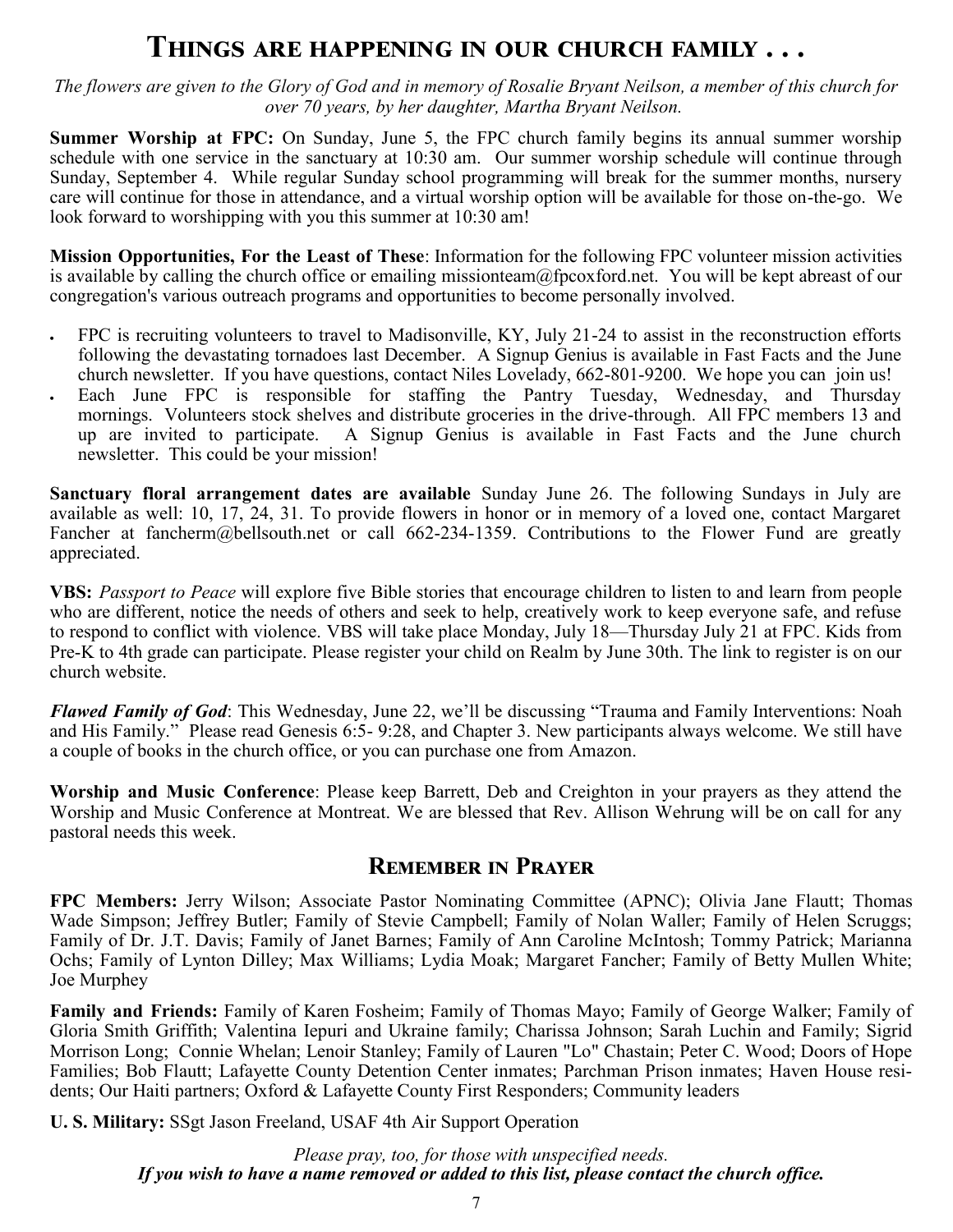### **Things are happening in our church family . . .**

*The flowers are given to the Glory of God and in memory of Rosalie Bryant Neilson, a member of this church for over 70 years, by her daughter, Martha Bryant Neilson.*

**Summer Worship at FPC:** On Sunday, June 5, the FPC church family begins its annual summer worship schedule with one service in the sanctuary at 10:30 am. Our summer worship schedule will continue through Sunday, September 4. While regular Sunday school programming will break for the summer months, nursery care will continue for those in attendance, and a virtual worship option will be available for those on-the-go. We look forward to worshipping with you this summer at 10:30 am!

**Mission Opportunities, For the Least of These**: Information for the following FPC volunteer mission activities is available by calling the church office or emailing missionteam@fpcoxford.net. You will be kept abreast of our congregation's various outreach programs and opportunities to become personally involved.

- FPC is recruiting volunteers to travel to Madisonville, KY, July 21-24 to assist in the reconstruction efforts following the devastating tornadoes last December. A Signup Genius is available in Fast Facts and the June church newsletter. If you have questions, contact Niles Lovelady, 662-801-9200. We hope you can join us!
- Each June FPC is responsible for staffing the Pantry Tuesday, Wednesday, and Thursday mornings. Volunteers stock shelves and distribute groceries in the drive-through. All FPC members 13 and up are invited to participate. A Signup Genius is available in Fast Facts and the June church newsletter. This could be your mission!

**Sanctuary floral arrangement dates are available** Sunday June 26. The following Sundays in July are available as well: 10, 17, 24, 31. To provide flowers in honor or in memory of a loved one, contact Margaret Fancher at fancherm@bellsouth.net or call 662-234-1359. Contributions to the Flower Fund are greatly appreciated.

**VBS:** *Passport to Peace* will explore five Bible stories that encourage children to listen to and learn from people who are different, notice the needs of others and seek to help, creatively work to keep everyone safe, and refuse to respond to conflict with violence. VBS will take place Monday, July 18—Thursday July 21 at FPC. Kids from Pre-K to 4th grade can participate. Please register your child on Realm by June 30th. The link to register is on our church website.

*Flawed Family of God*: This Wednesday, June 22, we'll be discussing "Trauma and Family Interventions: Noah and His Family." Please read Genesis 6:5- 9:28, and Chapter 3. New participants always welcome. We still have a couple of books in the church office, or you can purchase one from Amazon.

**Worship and Music Conference**: Please keep Barrett, Deb and Creighton in your prayers as they attend the Worship and Music Conference at Montreat. We are blessed that Rev. Allison Wehrung will be on call for any pastoral needs this week.

### **Remember in Prayer**

**FPC Members:** Jerry Wilson; Associate Pastor Nominating Committee (APNC); Olivia Jane Flautt; Thomas Wade Simpson; Jeffrey Butler; Family of Stevie Campbell; Family of Nolan Waller; Family of Helen Scruggs; Family of Dr. J.T. Davis; Family of Janet Barnes; Family of Ann Caroline McIntosh; Tommy Patrick; Marianna Ochs; Family of Lynton Dilley; Max Williams; Lydia Moak; Margaret Fancher; Family of Betty Mullen White; Joe Murphey

**Family and Friends:** Family of Karen Fosheim; Family of Thomas Mayo; Family of George Walker; Family of Gloria Smith Griffith; Valentina Iepuri and Ukraine family; Charissa Johnson; Sarah Luchin and Family; Sigrid Morrison Long; Connie Whelan; Lenoir Stanley; Family of Lauren "Lo" Chastain; Peter C. Wood; Doors of Hope Families; Bob Flautt; Lafayette County Detention Center inmates; Parchman Prison inmates; Haven House residents; Our Haiti partners; Oxford & Lafayette County First Responders; Community leaders

**U. S. Military:** SSgt Jason Freeland, USAF 4th Air Support Operation

*Please pray, too, for those with unspecified needs. If you wish to have a name removed or added to this list, please contact the church office.*